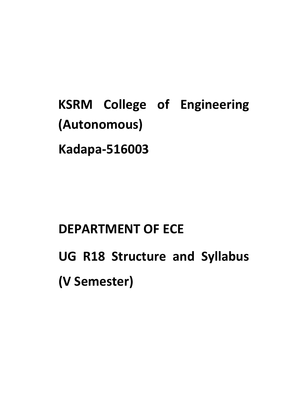**KSRM College of Engineering (Autonomous) Kadapa-516003**

# **DEPARTMENT OF ECE**

**UG R18 Structure and Syllabus (V Semester)**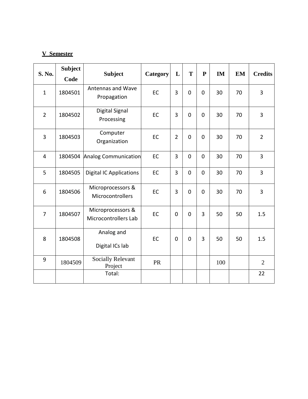# **V Semester**

| S. No.         | <b>Subject</b> |                                           |           | L              | T              | ${\bf P}$      | <b>IM</b> | <b>EM</b> | <b>Credits</b> |
|----------------|----------------|-------------------------------------------|-----------|----------------|----------------|----------------|-----------|-----------|----------------|
|                | Code           | <b>Subject</b>                            | Category  |                |                |                |           |           |                |
| $\mathbf{1}$   | 1804501        | Antennas and Wave<br>Propagation          | <b>EC</b> | 3              | $\mathbf 0$    | $\mathbf 0$    | 30        | 70        | $\overline{3}$ |
| $\overline{2}$ | 1804502        | <b>Digital Signal</b><br>Processing       | EC        | 3              | $\mathbf 0$    | $\mathbf 0$    | 30        | 70        | $\overline{3}$ |
| 3              | 1804503        | Computer<br>Organization                  | EC        | $\overline{2}$ | $\mathbf 0$    | $\overline{0}$ | 30        | 70        | $\overline{2}$ |
| $\overline{4}$ | 1804504        | Analog Communication                      | EC        | 3              | $\mathbf 0$    | $\mathbf 0$    | 30        | 70        | $\overline{3}$ |
| 5              | 1804505        | <b>Digital IC Applications</b>            | EC        | 3              | $\overline{0}$ | $\overline{0}$ | 30        | 70        | $\overline{3}$ |
| 6              | 1804506        | Microprocessors &<br>Microcontrollers     | EC        | 3              | $\mathbf 0$    | $\overline{0}$ | 30        | 70        | $\overline{3}$ |
| $\overline{7}$ | 1804507        | Microprocessors &<br>Microcontrollers Lab | EC        | $\mathbf 0$    | $\mathbf 0$    | 3              | 50        | 50        | 1.5            |
| 8              | 1804508        | Analog and<br>Digital ICs lab             | EC        | $\mathbf 0$    | $\mathbf 0$    | 3              | 50        | 50        | 1.5            |
| 9              | 1804509        | <b>Socially Relevant</b><br>Project       | <b>PR</b> |                |                |                | 100       |           | $\overline{2}$ |
|                |                | Total:                                    |           |                |                |                |           |           | 22             |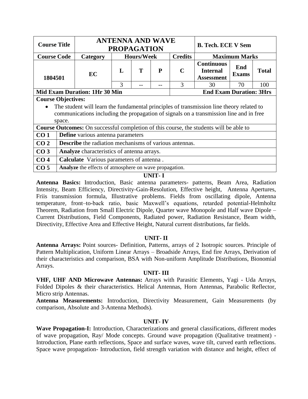| <b>Course Title</b> |                           |                                                                                          |              | <b>ANTENNA AND WAVE</b><br><b>PROPAGATION</b> |   |                | <b>B. Tech. ECE V Sem</b>                                 |                     |              |  |
|---------------------|---------------------------|------------------------------------------------------------------------------------------|--------------|-----------------------------------------------|---|----------------|-----------------------------------------------------------|---------------------|--------------|--|
| <b>Course Code</b>  |                           | Category                                                                                 |              | <b>Hours/Week</b>                             |   | <b>Credits</b> | <b>Maximum Marks</b>                                      |                     |              |  |
| 1804501             |                           | EC                                                                                       | $\mathbf{L}$ | Т                                             | P | $\mathbf C$    | <b>Continuous</b><br><b>Internal</b><br><b>Assessment</b> | End<br><b>Exams</b> | <b>Total</b> |  |
|                     |                           |                                                                                          | 3            |                                               |   | 3              | 30                                                        | 70                  | 100          |  |
|                     |                           | <b>Mid Exam Duration: 1Hr 30 Min</b>                                                     |              |                                               |   |                | <b>End Exam Duration: 3Hrs</b>                            |                     |              |  |
|                     | <b>Course Objectives:</b> |                                                                                          |              |                                               |   |                |                                                           |                     |              |  |
|                     |                           | The student will learn the fundamental principles of transmission line theory related to |              |                                               |   |                |                                                           |                     |              |  |
|                     |                           | communications including the propagation of signals on a transmission line and in free   |              |                                               |   |                |                                                           |                     |              |  |
|                     | space.                    |                                                                                          |              |                                               |   |                |                                                           |                     |              |  |
|                     |                           | Course Outcomes: On successful completion of this course, the students will be able to   |              |                                               |   |                |                                                           |                     |              |  |
| CO <sub>1</sub>     |                           | <b>Define</b> various antenna parameters                                                 |              |                                               |   |                |                                                           |                     |              |  |
| CO <sub>2</sub>     |                           | <b>Describe</b> the radiation mechanisms of various antennas.                            |              |                                               |   |                |                                                           |                     |              |  |
| CO <sub>3</sub>     |                           | Analyze characteristics of antenna arrays.                                               |              |                                               |   |                |                                                           |                     |              |  |
| CO <sub>4</sub>     |                           | Calculate Various parameters of antenna.                                                 |              |                                               |   |                |                                                           |                     |              |  |
| CO <sub>5</sub>     |                           | Analyze the effects of atmosphere on wave propagation.                                   |              |                                               |   |                |                                                           |                     |              |  |

**Antenna Basics:** Introduction, Basic antenna parameters- patterns, Beam Area, Radiation Intensity, Beam Efficiency, Directivity-Gain-Resolution, Effective height, Antenna Apertures, Friis transmission formula, Illustrative problems. Fields from oscillating dipole, Antenna temperature, front–to-back ratio, basic Maxwell's equations, retarded potential-Helmholtz Theorem, Radiation from Small Electric Dipole, Quarter wave Monopole and Half wave Dipole – Current Distributions, Field Components, Radiated power, Radiation Resistance, Beam width, Directivity, Effective Area and Effective Height, Natural current distributions, far fields.

# **UNIT- II**

**Antenna Arrays:** Point sources- Definition, Patterns, arrays of 2 Isotropic sources. Principle of Pattern Multiplication, Uniform Linear Arrays – Broadside Arrays, End fire Arrays, Derivation of their characteristics and comparison, BSA with Non-uniform Amplitude Distributions, Bionomial Arrays.

# **UNIT- III**

**VHF, UHF AND Microwave Antennas:** Arrays with Parasitic Elements, Yagi - Uda Arrays, Folded Dipoles & their characteristics. Helical Antennas, Horn Antennas, Parabolic Reflector, Micro strip Antennas.

**Antenna Measurements:** Introduction, Directivity Measurement, Gain Measurements (by comparison, Absolute and 3-Antenna Methods).

# **UNIT- IV**

**Wave Propagation-I:** Introduction, Characterizations and general classifications, different modes of wave propagation, Ray/ Mode concepts. Ground wave propagation (Qualitative treatment) - Introduction, Plane earth reflections, Space and surface waves, wave tilt, curved earth reflections. Space wave propagation- Introduction, field strength variation with distance and height, effect of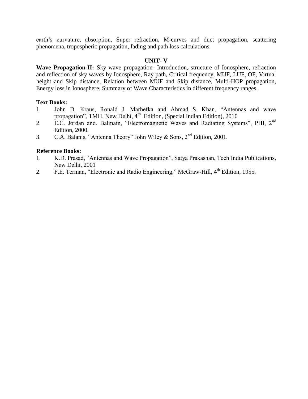earth's curvature, absorption, Super refraction, M-curves and duct propagation, scattering phenomena, tropospheric propagation, fading and path loss calculations.

### **UNIT- V**

**Wave Propagation-II:** Sky wave propagation- Introduction, structure of Ionosphere, refraction and reflection of sky waves by Ionosphere, Ray path, Critical frequency, MUF, LUF, OF, Virtual height and Skip distance, Relation between MUF and Skip distance, Multi-HOP propagation, Energy loss in Ionosphere, Summary of Wave Characteristics in different frequency ranges.

### **Text Books:**

- 1. John D. Kraus, Ronald J. Marhefka and Ahmad S. Khan, "Antennas and wave propagation", TMH, New Delhi, 4<sup>th</sup> Edition, (Special Indian Edition), 2010
- 2. E.C. Jordan and. Balmain, "Electromagnetic Waves and Radiating Systems", PHI, 2<sup>nd</sup> Edition, 2000.
- 3. C.A. Balanis, "Antenna Theory" John Wiley & Sons,  $2<sup>nd</sup>$  Edition, 2001.

- 1. K.D. Prasad, "Antennas and Wave Propagation", Satya Prakashan, Tech India Publications, New Delhi, 2001
- 2. F.E. Terman, "Electronic and Radio Engineering," McGraw-Hill, 4<sup>th</sup> Edition, 1955.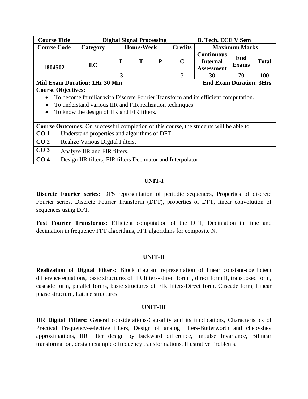| <b>Course Title</b> |                                                                                   | <b>Digital Signal Processing</b><br><b>B. Tech. ECE V Sem</b>                                 |              |                   |   |                |                                                           |                      |              |  |  |
|---------------------|-----------------------------------------------------------------------------------|-----------------------------------------------------------------------------------------------|--------------|-------------------|---|----------------|-----------------------------------------------------------|----------------------|--------------|--|--|
| <b>Course Code</b>  |                                                                                   | Category                                                                                      |              | <b>Hours/Week</b> |   | <b>Credits</b> |                                                           | <b>Maximum Marks</b> |              |  |  |
| 1804502             |                                                                                   | EC                                                                                            | $\mathbf{L}$ | T                 | P | $\mathbf C$    | <b>Continuous</b><br><b>Internal</b><br><b>Assessment</b> | End<br><b>Exams</b>  | <b>Total</b> |  |  |
|                     |                                                                                   |                                                                                               | 3            |                   |   | 3              | 30                                                        | 70                   | 100          |  |  |
|                     |                                                                                   | <b>Mid Exam Duration: 1Hr 30 Min</b>                                                          |              |                   |   |                | <b>End Exam Duration: 3Hrs</b>                            |                      |              |  |  |
|                     | <b>Course Objectives:</b>                                                         |                                                                                               |              |                   |   |                |                                                           |                      |              |  |  |
|                     | To become familiar with Discrete Fourier Transform and its efficient computation. |                                                                                               |              |                   |   |                |                                                           |                      |              |  |  |
|                     |                                                                                   | To understand various IIR and FIR realization techniques.                                     |              |                   |   |                |                                                           |                      |              |  |  |
|                     |                                                                                   | To know the design of IIR and FIR filters.                                                    |              |                   |   |                |                                                           |                      |              |  |  |
|                     |                                                                                   |                                                                                               |              |                   |   |                |                                                           |                      |              |  |  |
|                     |                                                                                   | <b>Course Outcomes:</b> On successful completion of this course, the students will be able to |              |                   |   |                |                                                           |                      |              |  |  |
| CO <sub>1</sub>     |                                                                                   | Understand properties and algorithms of DFT.                                                  |              |                   |   |                |                                                           |                      |              |  |  |
| CO <sub>2</sub>     |                                                                                   | Realize Various Digital Filters.                                                              |              |                   |   |                |                                                           |                      |              |  |  |
| CO <sub>3</sub>     |                                                                                   | Analyze IIR and FIR filters.                                                                  |              |                   |   |                |                                                           |                      |              |  |  |
| CO <sub>4</sub>     |                                                                                   | Design IIR filters, FIR filters Decimator and Interpolator.                                   |              |                   |   |                |                                                           |                      |              |  |  |

**Discrete Fourier series:** DFS representation of periodic sequences, Properties of discrete Fourier series, Discrete Fourier Transform (DFT), properties of DFT, linear convolution of sequences using DFT.

**Fast Fourier Transforms:** Efficient computation of the DFT, Decimation in time and decimation in frequency FFT algorithms, FFT algorithms for composite N.

# **UNIT-II**

**Realization of Digital Filters:** Block diagram representation of linear constant-coefficient difference equations, basic structures of IIR filters- direct form I, direct form II, transposed form, cascade form, parallel forms, basic structures of FIR filters-Direct form, Cascade form, Linear phase structure, Lattice structures.

# **UNIT-III**

**IIR Digital Filters:** General considerations-Causality and its implications, Characteristics of Practical Frequency-selective filters, Design of analog filters-Butterworth and chebyshev approximations, IIR filter design by backward difference, Impulse Invariance, Bilinear transformation, design examples: frequency transformations, Illustrative Problems.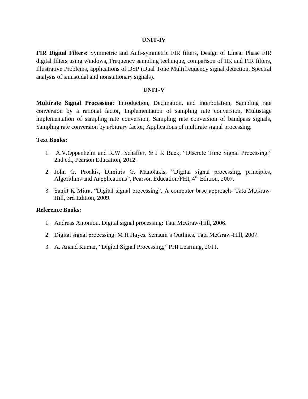**FIR Digital Filters:** Symmetric and Anti-symmetric FIR filters, Design of Linear Phase FIR digital filters using windows, Frequency sampling technique, comparison of IIR and FIR filters, Illustrative Problems, applications of DSP (Dual Tone Multifrequency signal detection, Spectral analysis of sinusoidal and nonstationary signals).

### **UNIT-V**

**Multirate Signal Processing:** Introduction, Decimation, and interpolation, Sampling rate conversion by a rational factor, Implementation of sampling rate conversion, Multistage implementation of sampling rate conversion, Sampling rate conversion of bandpass signals, Sampling rate conversion by arbitrary factor, Applications of multirate signal processing.

# **Text Books:**

- 1. A.V.Oppenheim and R.W. Schaffer, & J R Buck, "Discrete Time Signal Processing," 2nd ed., Pearson Education, 2012.
- 2. John G. Proakis, Dimitris G. Manolakis, "Digital signal processing, principles, Algorithms and Aapplications", Pearson Education/PHI, 4<sup>th</sup> Edition, 2007.
- 3. Sanjit K Mitra, "Digital signal processing", A computer base approach- Tata McGraw-Hill, 3rd Edition, 2009.

- 1. Andreas Antoniou, Digital signal processing: Tata McGraw-Hill, 2006.
- 2. Digital signal processing: M H Hayes, Schaum's Outlines, Tata McGraw-Hill, 2007.
- 3. A. Anand Kumar, "Digital Signal Processing," PHI Learning, 2011.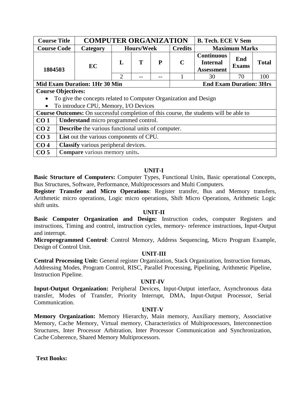| <b>Course Title</b> |                                                                        | <b>COMPUTER ORGANIZATION</b><br><b>B. Tech. ECE V Sem</b>                              |                |                   |   |                |                                                           |                     |              |  |
|---------------------|------------------------------------------------------------------------|----------------------------------------------------------------------------------------|----------------|-------------------|---|----------------|-----------------------------------------------------------|---------------------|--------------|--|
| <b>Course Code</b>  |                                                                        | Category                                                                               |                | <b>Hours/Week</b> |   | <b>Credits</b> | <b>Maximum Marks</b>                                      |                     |              |  |
| 1804503             |                                                                        | EC                                                                                     | L              | Т                 | P | $\mathbf C$    | <b>Continuous</b><br><b>Internal</b><br><b>Assessment</b> | End<br><b>Exams</b> | <b>Total</b> |  |
|                     |                                                                        |                                                                                        | $\mathfrak{D}$ |                   |   |                | 30                                                        | 70                  | 100          |  |
|                     | <b>End Exam Duration: 3Hrs</b><br><b>Mid Exam Duration: 1Hr 30 Min</b> |                                                                                        |                |                   |   |                |                                                           |                     |              |  |
|                     | <b>Course Objectives:</b>                                              |                                                                                        |                |                   |   |                |                                                           |                     |              |  |
|                     |                                                                        | To give the concepts related to Computer Organization and Design                       |                |                   |   |                |                                                           |                     |              |  |
|                     |                                                                        | To introduce CPU, Memory, I/O Devices                                                  |                |                   |   |                |                                                           |                     |              |  |
|                     |                                                                        | Course Outcomes: On successful completion of this course, the students will be able to |                |                   |   |                |                                                           |                     |              |  |
| CO <sub>1</sub>     |                                                                        | Understand micro programmed control.                                                   |                |                   |   |                |                                                           |                     |              |  |
| CO <sub>2</sub>     |                                                                        | <b>Describe</b> the various functional units of computer.                              |                |                   |   |                |                                                           |                     |              |  |
| CO <sub>3</sub>     | List out the various components of CPU.                                |                                                                                        |                |                   |   |                |                                                           |                     |              |  |
| CO <sub>4</sub>     |                                                                        | Classify various peripheral devices.                                                   |                |                   |   |                |                                                           |                     |              |  |
| CO <sub>5</sub>     |                                                                        | <b>Compare</b> various memory units.                                                   |                |                   |   |                |                                                           |                     |              |  |

**Basic Structure of Computers:** Computer Types, Functional Units, Basic operational Concepts, Bus Structures, Software, Performance, Multiprocessors and Multi Computers.

**Register Transfer and Micro Operations**: Register transfer, Bus and Memory transfers, Arithmetic micro operations, Logic micro operations, Shift Micro Operations, Arithmetic Logic shift units.

# **UNIT-II**

**Basic Computer Organization and Design:** Instruction codes, computer Registers and instructions, Timing and control, instruction cycles, memory- reference instructions, Input-Output and interrupt.

**Microprogrammed Control**: Control Memory, Address Sequencing, Micro Program Example, Design of Control Unit.

# **UNIT-III**

**Central Processing Unit:** General register Organization, Stack Organization, Instruction formats, Addressing Modes, Program Control, RISC, Parallel Processing, Pipelining, Arithmetic Pipeline, Instruction Pipeline.

#### **UNIT-IV**

**Input-Output Organization:** Peripheral Devices, Input-Output interface, Asynchronous data transfer, Modes of Transfer, Priority Interrupt, DMA, Input-Output Processor, Serial Communication.

#### **UNIT-V**

**Memory Organization:** Memory Hierarchy, Main memory, Auxiliary memory, Associative Memory, Cache Memory, Virtual memory, Characteristics of Multiprocessors, Interconnection Structures, Inter Processor Arbitration, Inter Processor Communication and Synchronization, Cache Coherence, Shared Memory Multiprocessors.

**Text Books:**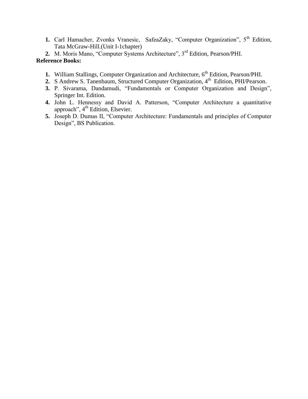**1.** Carl Hamacher, Zvonks Vranesic, SafeaZaky, "Computer Organization", 5<sup>th</sup> Edition, Tata McGraw-Hill.(Unit I-1chapter)

**2.** M. Moris Mano, "Computer Systems Architecture", 3rd Edition, Pearson/PHI. **Reference Books:**

- **1.** William Stallings, Computer Organization and Architecture, 6<sup>th</sup> Edition, Pearson/PHI.
- 2. S Andrew S. Tanenbaum, Structured Computer Organization, 4<sup>th</sup> Edition, PHI/Pearson.
- **3.** P. Sivarama, Dandamudi, "Fundamentals or Computer Organization and Design", Springer Int. Edition.
- **4.** John L. Hennessy and David A. Patterson, "Computer Architecture a quantitative approach", 4<sup>th</sup> Edition, Elsevier.
- **5.** Joseph D. Dumas II, "Computer Architecture: Fundamentals and principles of Computer Design", BS Publication.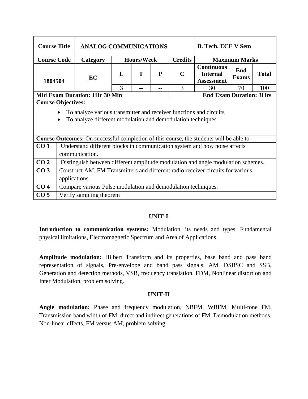| <b>Course Title</b> |                                                                                                                                                                             | <b>ANALOG COMMUNICATIONS</b>                                                                  |              |                   | <b>B. Tech. ECE V Sem</b> |                |                                                           |                     |              |  |  |
|---------------------|-----------------------------------------------------------------------------------------------------------------------------------------------------------------------------|-----------------------------------------------------------------------------------------------|--------------|-------------------|---------------------------|----------------|-----------------------------------------------------------|---------------------|--------------|--|--|
| <b>Course Code</b>  |                                                                                                                                                                             | Category                                                                                      |              | <b>Hours/Week</b> |                           | <b>Credits</b> | <b>Maximum Marks</b>                                      |                     |              |  |  |
| 1804504             |                                                                                                                                                                             | <b>EC</b>                                                                                     | $\mathbf{L}$ | T                 | P                         | $\mathbf C$    | <b>Continuous</b><br><b>Internal</b><br><b>Assessment</b> | End<br><b>Exams</b> | <b>Total</b> |  |  |
|                     | 3<br>3<br>30<br>70<br>100                                                                                                                                                   |                                                                                               |              |                   |                           |                |                                                           |                     |              |  |  |
|                     | <b>End Exam Duration: 3Hrs</b><br><b>Mid Exam Duration: 1Hr 30 Min</b>                                                                                                      |                                                                                               |              |                   |                           |                |                                                           |                     |              |  |  |
|                     | <b>Course Objectives:</b><br>To analyze various transmitter and receiver functions and circuits<br>To analyze different modulation and demodulation techniques<br>$\bullet$ |                                                                                               |              |                   |                           |                |                                                           |                     |              |  |  |
|                     |                                                                                                                                                                             | <b>Course Outcomes:</b> On successful completion of this course, the students will be able to |              |                   |                           |                |                                                           |                     |              |  |  |
| CO <sub>1</sub>     |                                                                                                                                                                             | Understand different blocks in communication system and how noise affects<br>communication.   |              |                   |                           |                |                                                           |                     |              |  |  |
| CO <sub>2</sub>     |                                                                                                                                                                             | Distinguish between different amplitude modulation and angle modulation schemes.              |              |                   |                           |                |                                                           |                     |              |  |  |
| CO <sub>3</sub>     |                                                                                                                                                                             | Construct AM, FM Transmitters and different radio receiver circuits for various               |              |                   |                           |                |                                                           |                     |              |  |  |
|                     | applications.                                                                                                                                                               |                                                                                               |              |                   |                           |                |                                                           |                     |              |  |  |
| CO <sub>4</sub>     |                                                                                                                                                                             | Compare various Pulse modulation and demodulation techniques.                                 |              |                   |                           |                |                                                           |                     |              |  |  |
| CO <sub>5</sub>     |                                                                                                                                                                             | Verify sampling theorem                                                                       |              |                   |                           |                |                                                           |                     |              |  |  |

**Introduction to communication systems:** Modulation, its needs and types, Fundamental physical limitations, Electromagnetic Spectrum and Area of Applications.

**Amplitude modulation:** Hilbert Transform and its properties, base band and pass band representation of signals, Pre-envelope and band pass signals, AM, DSBSC and SSB, Generation and detection methods, VSB, frequency translation, FDM, Nonlinear distortion and Inter Modulation, problem solving.

# **UNIT-II**

**Angle modulation:** Phase and frequency modulation, NBFM, WBFM, Multi-tone FM, Transmission band width of FM, direct and indirect generations of FM, Demodulation methods, Non-linear effects, FM versus AM, problem solving.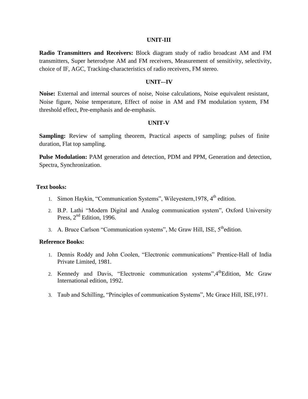#### **UNIT-III**

**Radio Transmitters and Receivers:** Block diagram study of radio broadcast AM and FM transmitters, Super heterodyne AM and FM receivers, Measurement of sensitivity, selectivity, choice of IF, AGC, Tracking-characteristics of radio receivers, FM stereo.

#### **UNIT-–IV**

**Noise:** External and internal sources of noise, Noise calculations, Noise equivalent resistant, Noise figure, Noise temperature, Effect of noise in AM and FM modulation system, FM threshold effect, Pre-emphasis and de-emphasis.

#### **UNIT-V**

**Sampling:** Review of sampling theorem, Practical aspects of sampling; pulses of finite duration, Flat top sampling.

**Pulse Modulation:** PAM generation and detection, PDM and PPM, Generation and detection, Spectra, Synchronization.

#### **Text books:**

- 1. Simon Haykin, "Communication Systems", Wileyestern, 1978, 4<sup>th</sup> edition.
- 2. B.P. Lathi "Modern Digital and Analog communication system", Oxford University Press, 2<sup>nd</sup> Edition, 1996.
- 3. A. Bruce Carlson "Communication systems", Mc Graw Hill, ISE,  $5<sup>th</sup>$ edition.

- 1. Dennis Roddy and John Coolen, "Electronic communications" Prentice-Hall of India Private Limited, 1981.
- 2. Kennedy and Davis, "Electronic communication systems", 4<sup>th</sup>Edition, Mc Graw International edition, 1992.
- 3. Taub and Schilling, "Principles of communication Systems", Mc Grace Hill, ISE,1971.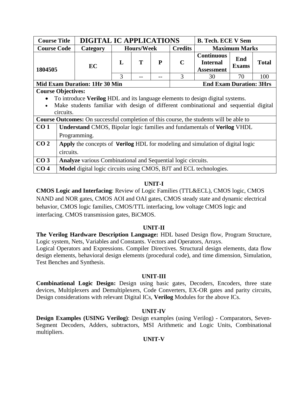| <b>Course Title</b> |                                                                               | <b>DIGITAL IC APPLICATIONS</b>                                                                |   |                   |   |                | <b>B. Tech. ECE V Sem</b>                                 |                      |              |  |  |
|---------------------|-------------------------------------------------------------------------------|-----------------------------------------------------------------------------------------------|---|-------------------|---|----------------|-----------------------------------------------------------|----------------------|--------------|--|--|
| <b>Course Code</b>  |                                                                               | Category                                                                                      |   | <b>Hours/Week</b> |   | <b>Credits</b> |                                                           | <b>Maximum Marks</b> |              |  |  |
| 1804505             |                                                                               | EC                                                                                            | L | T                 | P | $\mathbf C$    | <b>Continuous</b><br><b>Internal</b><br><b>Assessment</b> | End<br><b>Exams</b>  | <b>Total</b> |  |  |
|                     |                                                                               | 3<br>3<br>100<br>30<br>70                                                                     |   |                   |   |                |                                                           |                      |              |  |  |
|                     | <b>Mid Exam Duration: 1Hr 30 Min</b><br><b>End Exam Duration: 3Hrs</b>        |                                                                                               |   |                   |   |                |                                                           |                      |              |  |  |
|                     | <b>Course Objectives:</b>                                                     |                                                                                               |   |                   |   |                |                                                           |                      |              |  |  |
|                     | To introduce Verilog HDL and its language elements to design digital systems. |                                                                                               |   |                   |   |                |                                                           |                      |              |  |  |
| $\bullet$           |                                                                               | Make students familiar with design of different combinational and sequential digital          |   |                   |   |                |                                                           |                      |              |  |  |
|                     | circuits.                                                                     |                                                                                               |   |                   |   |                |                                                           |                      |              |  |  |
|                     |                                                                               | <b>Course Outcomes:</b> On successful completion of this course, the students will be able to |   |                   |   |                |                                                           |                      |              |  |  |
| CO <sub>1</sub>     |                                                                               | <b>Understand CMOS, Bipolar logic families and fundamentals of Verilog VHDL</b>               |   |                   |   |                |                                                           |                      |              |  |  |
|                     |                                                                               | Programming.                                                                                  |   |                   |   |                |                                                           |                      |              |  |  |
| CO <sub>2</sub>     |                                                                               | Apply the concepts of Verilog HDL for modeling and simulation of digital logic                |   |                   |   |                |                                                           |                      |              |  |  |
|                     | circuits.                                                                     |                                                                                               |   |                   |   |                |                                                           |                      |              |  |  |
| CO <sub>3</sub>     |                                                                               | <b>Analyze</b> various Combinational and Sequential logic circuits.                           |   |                   |   |                |                                                           |                      |              |  |  |
| CO <sub>4</sub>     |                                                                               | <b>Model</b> digital logic circuits using CMOS, BJT and ECL technologies.                     |   |                   |   |                |                                                           |                      |              |  |  |

**CMOS Logic and Interfacing**: Review of Logic Families (TTL&ECL), CMOS logic, CMOS NAND and NOR gates, CMOS AOI and OAI gates, CMOS steady state and dynamic electrical behavior, CMOS logic families, CMOS/TTL interfacing, low voltage CMOS logic and interfacing. CMOS transmission gates, BiCMOS.

#### **UNIT-II**

**The Verilog Hardware Description Language:** HDL based Design flow, Program Structure, Logic system, Nets, Variables and Constants. Vectors and Operators, Arrays.

Logical Operators and Expressions. Compiler Directives. Structural design elements, data flow design elements, behavioral design elements (procedural code), and time dimension, Simulation, Test Benches and Synthesis.

#### **UNIT-III**

**Combinational Logic Design:** Design using basic gates, Decoders, Encoders, three state devices, Multiplexers and Demultiplexers, Code Converters, EX-OR gates and parity circuits, Design considerations with relevant Digital ICs, **Verilog** Modules for the above ICs.

# **UNIT-IV**

**Design Examples (USING Verilog)**: Design examples (using Verilog) - Comparators, Seven-Segment Decoders, Adders, subtractors, MSI Arithmetic and Logic Units, Combinational multipliers.

# **UNIT-V**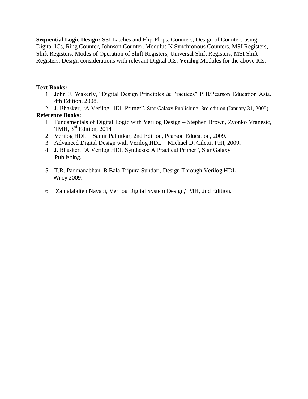**Sequential Logic Design:** SSI Latches and Flip-Flops, Counters, Design of Counters using Digital ICs, Ring Counter, Johnson Counter, Modulus N Synchronous Counters, MSI Registers, Shift Registers, Modes of Operation of Shift Registers, Universal Shift Registers, MSI Shift Registers, Design considerations with relevant Digital ICs, **Verilog** Modules for the above ICs.

# **Text Books:**

- 1. John F. Wakerly, "Digital Design Principles & Practices" PHI/Pearson Education Asia, 4th Edition, 2008.
- 2. J. Bhasker, "A Verilog HDL Primer", Star Galaxy Publishing; 3rd edition (January 31, 2005)

- 1. Fundamentals of Digital Logic with Verilog Design Stephen Brown, Zvonko Vranesic, TMH, 3<sup>rd</sup> Edition, 2014
- 2. Verilog HDL Samir Palnitkar, 2nd Edition, Pearson Education, 2009.
- 3. Advanced Digital Design with Verilog HDL Michael D. Ciletti, PHI, 2009.
- 4. J. Bhasker, "A Verilog HDL Synthesis: A Practical Primer", Star Galaxy Publishing.
- 5. T.R. Padmanabhan, B Bala Tripura Sundari, Design Through Verilog HDL, Wiley 2009.
- 6. Zainalabdien Navabi, Verliog Digital System Design,TMH, 2nd Edition.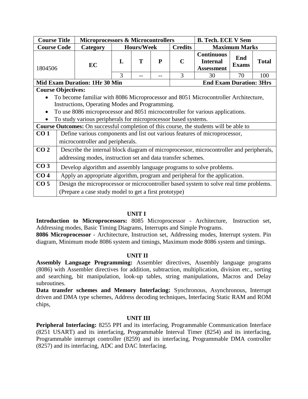| <b>Course Title</b>                                                    |                                                                                    | <b>Microprocessors &amp; Microcontrollers</b>                                           |                                |                   |   |                | <b>B. Tech. ECE V Sem</b>                                 |                      |              |  |  |
|------------------------------------------------------------------------|------------------------------------------------------------------------------------|-----------------------------------------------------------------------------------------|--------------------------------|-------------------|---|----------------|-----------------------------------------------------------|----------------------|--------------|--|--|
| <b>Course Code</b>                                                     |                                                                                    | Category                                                                                |                                | <b>Hours/Week</b> |   | <b>Credits</b> |                                                           | <b>Maximum Marks</b> |              |  |  |
| 1804506                                                                |                                                                                    | EC                                                                                      | L                              | т                 | P | $\mathbf C$    | <b>Continuous</b><br><b>Internal</b><br><b>Assessment</b> | End<br><b>Exams</b>  | <b>Total</b> |  |  |
|                                                                        |                                                                                    |                                                                                         | $\mathcal{R}$<br>3<br>70<br>30 |                   |   |                |                                                           |                      |              |  |  |
| <b>Mid Exam Duration: 1Hr 30 Min</b><br><b>End Exam Duration: 3Hrs</b> |                                                                                    |                                                                                         |                                |                   |   |                |                                                           |                      |              |  |  |
|                                                                        | <b>Course Objectives:</b>                                                          |                                                                                         |                                |                   |   |                |                                                           |                      |              |  |  |
|                                                                        | To become familiar with 8086 Microprocessor and 8051 Microcontroller Architecture, |                                                                                         |                                |                   |   |                |                                                           |                      |              |  |  |
|                                                                        | Instructions, Operating Modes and Programming.                                     |                                                                                         |                                |                   |   |                |                                                           |                      |              |  |  |
|                                                                        |                                                                                    | To use 8086 microprocessor and 8051 microcontroller for various applications.           |                                |                   |   |                |                                                           |                      |              |  |  |
|                                                                        |                                                                                    | To study various peripherals for microprocessor based systems.                          |                                |                   |   |                |                                                           |                      |              |  |  |
|                                                                        |                                                                                    | Course Outcomes: On successful completion of this course, the students will be able to  |                                |                   |   |                |                                                           |                      |              |  |  |
| CO <sub>1</sub>                                                        |                                                                                    | Define various components and list out various features of microprocessor,              |                                |                   |   |                |                                                           |                      |              |  |  |
|                                                                        |                                                                                    | microcontroller and peripherals.                                                        |                                |                   |   |                |                                                           |                      |              |  |  |
| CO <sub>2</sub>                                                        |                                                                                    | Describe the internal block diagram of microprocessor, microcontroller and peripherals, |                                |                   |   |                |                                                           |                      |              |  |  |
|                                                                        |                                                                                    | addressing modes, instruction set and data transfer schemes.                            |                                |                   |   |                |                                                           |                      |              |  |  |
| CO <sub>3</sub>                                                        |                                                                                    | Develop algorithm and assembly language programs to solve problems.                     |                                |                   |   |                |                                                           |                      |              |  |  |
| CO <sub>4</sub>                                                        |                                                                                    | Apply an appropriate algorithm, program and peripheral for the application.             |                                |                   |   |                |                                                           |                      |              |  |  |
| CO <sub>5</sub>                                                        |                                                                                    | Design the microprocessor or microcontroller based system to solve real time problems.  |                                |                   |   |                |                                                           |                      |              |  |  |
|                                                                        |                                                                                    | (Prepare a case study model to get a first prototype)                                   |                                |                   |   |                |                                                           |                      |              |  |  |

# **UNIT I**

**Introduction to Microprocessors:** 8085 Microprocessor - Architecture, Instruction set, Addressing modes, Basic Timing Diagrams, Interrupts and Simple Programs.

**8086 Microprocessor** - Architecture, Instruction set, Addressing modes, Interrupt system. Pin diagram, Minimum mode 8086 system and timings, Maximum mode 8086 system and timings.

#### **UNIT II**

**Assembly Language Programming:** Assembler directives, Assembly language programs (8086) with Assembler directives for addition, subtraction, multiplication, division etc., sorting and searching, bit manipulation, look-up tables, string manipulations, Macros and Delay subroutines.

Data transfer schemes and Memory Interfacing: Synchronous, Asynchronous, Interrupt driven and DMA type schemes, Address decoding techniques, Interfacing Static RAM and ROM chips,

#### **UNIT III**

**Peripheral Interfacing:** 8255 PPI and its interfacing, Programmable Communication Interface (8251 USART) and its interfacing, Programmable Interval Timer (8254) and its interfacing, Programmable interrupt controller (8259) and its interfacing, Programmable DMA controller (8257) and its interfacing, ADC and DAC Interfacing.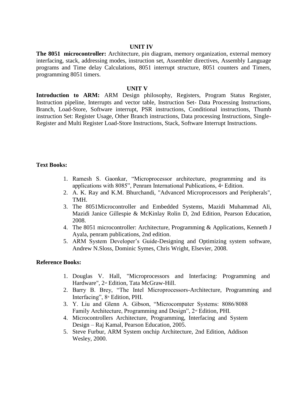#### **UNIT IV**

**The 8051 microcontroller:** Architecture, pin diagram, memory organization, external memory interfacing, stack, addressing modes, instruction set, Assembler directives, Assembly Language programs and Time delay Calculations, 8051 interrupt structure, 8051 counters and Timers, programming 8051 timers.

#### **UNIT V**

**Introduction to ARM:** ARM Design philosophy, Registers, Program Status Register, Instruction pipeline, Interrupts and vector table, Instruction Set- Data Processing Instructions, Branch, Load-Store, Software interrupt, PSR instructions, Conditional instructions, Thumb instruction Set: Register Usage, Other Branch instructions, Data processing Instructions, Single-Register and Multi Register Load-Store Instructions, Stack, Software Interrupt Instructions.

#### **Text Books:**

- 1. Ramesh S. Gaonkar, "Microprocessor architecture, programming and its applications with 8085", Penram International Publications,  $4<sup>*</sup>$  Edition.
- 2. A. K. Ray and K.M. Bhurchandi, "Advanced Microprocessors and Peripherals", TMH.
- 3. The 8051Microcontroller and Embedded Systems, Mazidi Muhammad Ali, Mazidi Janice Gillespie & McKinlay Rolin D, 2nd Edition, Pearson Education, 2008.
- 4. The 8051 microcontroller: Architecture, Programming & Applications, Kenneth J Ayala, penram publications, 2nd edition.
- 5. ARM System Developer's Guide-Designing and Optimizing system software, Andrew N.Sloss, Dominic Symes, Chris Wright, Elsevier, 2008.

- 1. Douglas V. Hall, "Microprocessors and Interfacing: Programming and Hardware", 2<sup>nd</sup> Edition, Tata McGraw-Hill.
- 2. Barry B. Brey, "The Intel Microprocessors-Architecture, Programming and Interfacing", 8<sup>th</sup> Edition, PHI.
- 3. Y. Liu and Glenn A. Gibson, "Microcomputer Systems: 8086/8088 Family Architecture, Programming and Design", 2<sup>nd</sup> Edition, PHI.
- 4. Microcontrollers Architecture, Programming, Interfacing and System Design – Raj Kamal, Pearson Education, 2005.
- 5. Steve Furbur, ARM System onchip Architecture, 2nd Edition, Addison Wesley, 2000.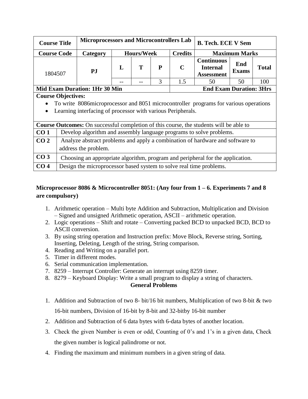| <b>Course Title</b> |                                                                                                       | <b>Microprocessors and Microcontrollers Lab</b>                     |   |                   |   |                | <b>B. Tech. ECE V Sem</b>                                                              |                     |              |  |  |
|---------------------|-------------------------------------------------------------------------------------------------------|---------------------------------------------------------------------|---|-------------------|---|----------------|----------------------------------------------------------------------------------------|---------------------|--------------|--|--|
| <b>Course Code</b>  |                                                                                                       | Category                                                            |   | <b>Hours/Week</b> |   | <b>Credits</b> | <b>Maximum Marks</b><br><b>Continuous</b>                                              |                     |              |  |  |
| 1804507             |                                                                                                       | PJ                                                                  | L | т                 | P | C              | <b>Internal</b><br><b>Assessment</b>                                                   | End<br><b>Exams</b> | <b>Total</b> |  |  |
|                     |                                                                                                       |                                                                     |   |                   | 3 | 1.5            | 50                                                                                     | 50                  | 100          |  |  |
|                     | <b>End Exam Duration: 3Hrs</b><br><b>Mid Exam Duration: 1Hr 30 Min</b>                                |                                                                     |   |                   |   |                |                                                                                        |                     |              |  |  |
|                     | <b>Course Objectives:</b>                                                                             |                                                                     |   |                   |   |                |                                                                                        |                     |              |  |  |
|                     |                                                                                                       |                                                                     |   |                   |   |                | To write 8086 microprocessor and 8051 microcontroller programs for various operations  |                     |              |  |  |
|                     |                                                                                                       | Learning interfacing of processor with various Peripherals.         |   |                   |   |                |                                                                                        |                     |              |  |  |
|                     |                                                                                                       |                                                                     |   |                   |   |                | Course Outcomes: On successful completion of this course, the students will be able to |                     |              |  |  |
| CO <sub>1</sub>     |                                                                                                       |                                                                     |   |                   |   |                | Develop algorithm and assembly language programs to solve problems.                    |                     |              |  |  |
| CO <sub>2</sub>     |                                                                                                       |                                                                     |   |                   |   |                |                                                                                        |                     |              |  |  |
|                     | Analyze abstract problems and apply a combination of hardware and software to<br>address the problem. |                                                                     |   |                   |   |                |                                                                                        |                     |              |  |  |
| CO <sub>3</sub>     |                                                                                                       |                                                                     |   |                   |   |                | Choosing an appropriate algorithm, program and peripheral for the application.         |                     |              |  |  |
| CO <sub>4</sub>     |                                                                                                       | Design the microprocessor based system to solve real time problems. |   |                   |   |                |                                                                                        |                     |              |  |  |

# **Microprocessor 8086 & Microcontroller 8051: (Any four from 1 – 6. Experiments 7 and 8 are compulsory)**

- 1. Arithmetic operation Multi byte Addition and Subtraction, Multiplication and Division – Signed and unsigned Arithmetic operation, ASCII – arithmetic operation.
- 2. Logic operations Shift and rotate Converting packed BCD to unpacked BCD, BCD to ASCII conversion.
- 3. By using string operation and Instruction prefix: Move Block, Reverse string, Sorting, Inserting, Deleting, Length of the string, String comparison.
- 4. Reading and Writing on a parallel port.
- 5. Timer in different modes.
- 6. Serial communication implementation.
- 7. 8259 Interrupt Controller: Generate an interrupt using 8259 timer.
- 8. 8279 Keyboard Display: Write a small program to display a string of characters.

# **General Problems**

- 1. Addition and Subtraction of two 8- bit/16 bit numbers, Multiplication of two 8-bit & two 16-bit numbers, Division of 16-bit by 8-bit and 32-bitby 16-bit number
- 2. Addition and Subtraction of 6 data bytes with 6-data bytes of another location.
- 3. Check the given Number is even or odd, Counting of 0's and 1's in a given data, Check the given number is logical palindrome or not.
- 4. Finding the maximum and minimum numbers in a given string of data.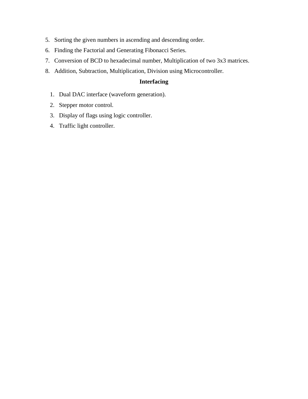- 5. Sorting the given numbers in ascending and descending order.
- 6. Finding the Factorial and Generating Fibonacci Series.
- 7. Conversion of BCD to hexadecimal number, Multiplication of two 3x3 matrices.
- 8. Addition, Subtraction, Multiplication, Division using Microcontroller.

# **Interfacing**

- 1. Dual DAC interface (waveform generation).
- 2. Stepper motor control.
- 3. Display of flags using logic controller.
- 4. Traffic light controller.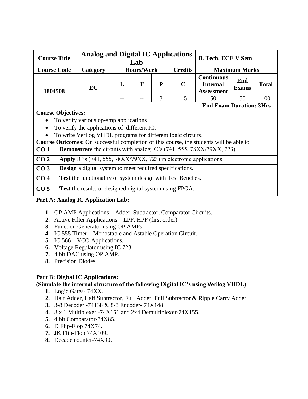| <b>Course Title</b>       |                                                                                               |              | Lab               | <b>Analog and Digital IC Applications</b><br><b>B. Tech. ECE V Sem</b> |                |                                                           |                      |              |  |  |  |
|---------------------------|-----------------------------------------------------------------------------------------------|--------------|-------------------|------------------------------------------------------------------------|----------------|-----------------------------------------------------------|----------------------|--------------|--|--|--|
| <b>Course Code</b>        | Category                                                                                      |              | <b>Hours/Week</b> |                                                                        | <b>Credits</b> |                                                           | <b>Maximum Marks</b> |              |  |  |  |
| 1804508                   | EC                                                                                            | $\mathbf{L}$ | T                 | P                                                                      | $\mathbf C$    | <b>Continuous</b><br><b>Internal</b><br><b>Assessment</b> | End<br><b>Exams</b>  | <b>Total</b> |  |  |  |
|                           |                                                                                               |              | 3<br>1.5          |                                                                        |                | 50                                                        | 50                   | 100          |  |  |  |
|                           | <b>End Exam Duration: 3Hrs</b>                                                                |              |                   |                                                                        |                |                                                           |                      |              |  |  |  |
| <b>Course Objectives:</b> |                                                                                               |              |                   |                                                                        |                |                                                           |                      |              |  |  |  |
| $\bullet$                 | To verify various op-amp applications                                                         |              |                   |                                                                        |                |                                                           |                      |              |  |  |  |
| $\bullet$                 | To verify the applications of different ICs                                                   |              |                   |                                                                        |                |                                                           |                      |              |  |  |  |
| $\bullet$                 | To write Verilog VHDL programs for different logic circuits.                                  |              |                   |                                                                        |                |                                                           |                      |              |  |  |  |
|                           | <b>Course Outcomes:</b> On successful completion of this course, the students will be able to |              |                   |                                                                        |                |                                                           |                      |              |  |  |  |
| CO <sub>1</sub>           | <b>Demonstrate</b> the circuits with analog IC's (741, 555, 78XX/79XX, 723)                   |              |                   |                                                                        |                |                                                           |                      |              |  |  |  |
| CO <sub>2</sub>           | Apply IC's (741, 555, 78XX/79XX, 723) in electronic applications.                             |              |                   |                                                                        |                |                                                           |                      |              |  |  |  |
| CO <sub>3</sub>           | <b>Design</b> a digital system to meet required specifications.                               |              |                   |                                                                        |                |                                                           |                      |              |  |  |  |

# **CO 4 Test** the functionality of system design with Test Benches.

**CO 5 Test** the results of designed digital system using FPGA.

# **Part A: Analog IC Application Lab:**

- **1.** OP AMP Applications Adder, Subtractor, Comparator Circuits.
- **2.** Active Filter Applications LPF, HPF (first order).
- **3.** Function Generator using OP AMPs.
- **4.** IC 555 Timer Monostable and Astable Operation Circuit.
- **5.** IC 566 VCO Applications.
- **6.** Voltage Regulator using IC 723.
- **7.** 4 bit DAC using OP AMP.
- **8.** Precision Diodes

# **Part B: Digital IC Applications:**

# **(Simulate the internal structure of the following Digital IC's using Verilog VHDL)**

- **1.** Logic Gates- 74XX.
- **2.** Half Adder, Half Subtractor, Full Adder, Full Subtractor & Ripple Carry Adder.
- **3.** 3-8 Decoder -74138 & 8-3 Encoder- 74X148.
- **4.** 8 x 1 Multiplexer -74X151 and 2x4 Demultiplexer-74X155.
- **5.** 4 bit Comparator-74X85.
- **6.** D Flip-Flop 74X74.
- **7.** JK Flip-Flop 74X109.
- **8.** Decade counter-74X90.